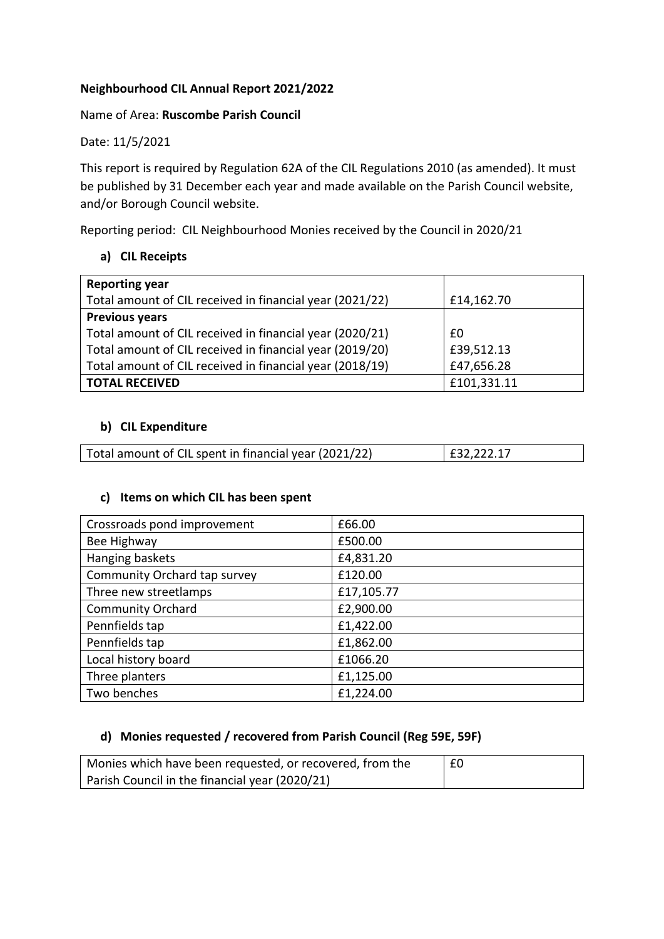# **Neighbourhood CIL Annual Report 2021/2022**

### Name of Area: **Ruscombe Parish Council**

Date: 11/5/2021

This report is required by Regulation 62A of the CIL Regulations 2010 (as amended). It must be published by 31 December each year and made available on the Parish Council website, and/or Borough Council website.

Reporting period: CIL Neighbourhood Monies received by the Council in 2020/21

# **a) CIL Receipts**

| <b>Reporting year</b>                                    |             |
|----------------------------------------------------------|-------------|
| Total amount of CIL received in financial year (2021/22) | £14,162.70  |
| <b>Previous years</b>                                    |             |
| Total amount of CIL received in financial year (2020/21) | £0          |
| Total amount of CIL received in financial year (2019/20) | £39,512.13  |
| Total amount of CIL received in financial year (2018/19) | £47,656.28  |
| <b>TOTAL RECEIVED</b>                                    | £101,331.11 |

## **b) CIL Expenditure**

| Total amount of CIL spent in financial year (2021/22)<br>$\vert$ £32,222.17 |
|-----------------------------------------------------------------------------|
|-----------------------------------------------------------------------------|

### **c) Items on which CIL has been spent**

| Crossroads pond improvement  | £66.00     |
|------------------------------|------------|
| Bee Highway                  | £500.00    |
| Hanging baskets              | £4,831.20  |
| Community Orchard tap survey | £120.00    |
| Three new streetlamps        | £17,105.77 |
| <b>Community Orchard</b>     | £2,900.00  |
| Pennfields tap               | £1,422.00  |
| Pennfields tap               | £1,862.00  |
| Local history board          | £1066.20   |
| Three planters               | £1,125.00  |
| Two benches                  | £1,224.00  |

# **d) Monies requested / recovered from Parish Council (Reg 59E, 59F)**

| Monies which have been requested, or recovered, from the | £0 |
|----------------------------------------------------------|----|
| Parish Council in the financial year (2020/21)           |    |